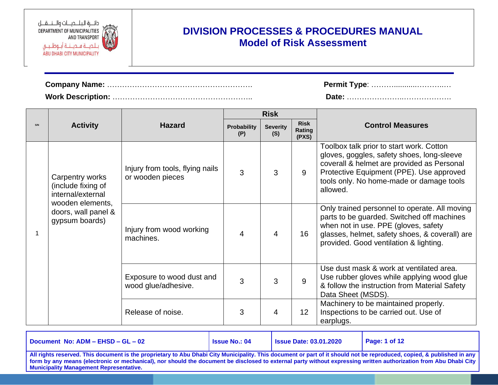

| <b>Permit Type: </b> |
|----------------------|
|                      |

| Permit Type: |
|--------------|
|              |

|  |                                                            |                                                     |                           | <b>Risk</b>            |                                |                                                                                                                                                                                                                                          |
|--|------------------------------------------------------------|-----------------------------------------------------|---------------------------|------------------------|--------------------------------|------------------------------------------------------------------------------------------------------------------------------------------------------------------------------------------------------------------------------------------|
|  | <b>Activity</b>                                            | <b>Hazard</b>                                       | <b>Probability</b><br>(P) | <b>Severity</b><br>(S) | <b>Risk</b><br>Rating<br>(PXS) | <b>Control Measures</b>                                                                                                                                                                                                                  |
|  | Carpentry works<br>(include fixing of<br>internal/external | Injury from tools, flying nails<br>or wooden pieces | 3                         | 3                      | 9                              | Toolbox talk prior to start work. Cotton<br>gloves, goggles, safety shoes, long-sleeve<br>coverall & helmet are provided as Personal<br>Protective Equipment (PPE). Use approved<br>tools only. No home-made or damage tools<br>allowed. |
|  | wooden elements,<br>doors, wall panel &<br>gypsum boards)  | Injury from wood working<br>machines.               | 4                         | 4                      | 16                             | Only trained personnel to operate. All moving<br>parts to be guarded. Switched off machines<br>when not in use. PPE (gloves, safety<br>glasses, helmet, safety shoes, & coverall) are<br>provided. Good ventilation & lighting.          |
|  |                                                            | Exposure to wood dust and<br>wood glue/adhesive.    | 3                         | 3                      | 9                              | Use dust mask & work at ventilated area.<br>Use rubber gloves while applying wood glue<br>& follow the instruction from Material Safety<br>Data Sheet (MSDS).                                                                            |
|  |                                                            | Release of noise.                                   | 3                         | 4                      | 12                             | Machinery to be maintained properly.<br>Inspections to be carried out. Use of<br>earplugs.                                                                                                                                               |

| Document No: ADM - EHSD - GL - 02                                                                                                                                                                                                                                                                                                                                                              | <b>Issue No.: 04</b> | <b>Issue Date: 03.01.2020</b> | Page: 1 of 12 |  |  |
|------------------------------------------------------------------------------------------------------------------------------------------------------------------------------------------------------------------------------------------------------------------------------------------------------------------------------------------------------------------------------------------------|----------------------|-------------------------------|---------------|--|--|
| All rights reserved. This document is the proprietary to Abu Dhabi City Municipality. This document or part of it should not be reproduced, copied, & published in any  <br>  form by any means (electronic or mechanical), nor should the document be disclosed to external party without expressing written authorization from Abu Dhabi City  <br>l Municipality Management Representative. |                      |                               |               |  |  |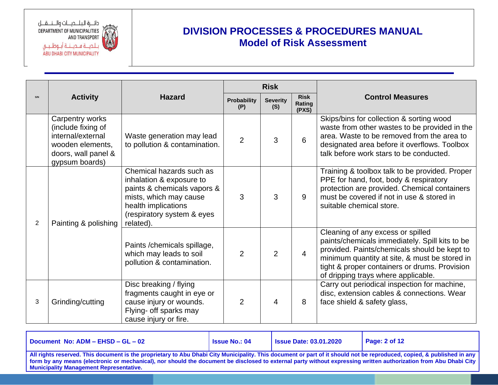دائـــرة الـبـلــــديــــات والــــنــــقــــل DEPARTMENT OF MUNICIPALITIES AND TRANSPORT ABU DHABI CITY MUNICIPALITY

# **DIVISION PROCESSES & PROCEDURES MANUAL Model of Risk Assessment**

|   |                                                                                                                         |                                                                                                                                                                                 | <b>Risk</b>        |                        |                                |                                                                                                                                                                                                                                                                              |
|---|-------------------------------------------------------------------------------------------------------------------------|---------------------------------------------------------------------------------------------------------------------------------------------------------------------------------|--------------------|------------------------|--------------------------------|------------------------------------------------------------------------------------------------------------------------------------------------------------------------------------------------------------------------------------------------------------------------------|
|   | <b>Activity</b>                                                                                                         | <b>Hazard</b>                                                                                                                                                                   | Probability<br>(P) | <b>Severity</b><br>(S) | <b>Risk</b><br>Rating<br>(PXS) | <b>Control Measures</b>                                                                                                                                                                                                                                                      |
|   | Carpentry works<br>(include fixing of<br>internal/external<br>wooden elements,<br>doors, wall panel &<br>gypsum boards) | Waste generation may lead<br>to pollution & contamination.                                                                                                                      | $\overline{2}$     | 3                      | 6                              | Skips/bins for collection & sorting wood<br>waste from other wastes to be provided in the<br>area. Waste to be removed from the area to<br>designated area before it overflows. Toolbox<br>talk before work stars to be conducted.                                           |
| 2 | Painting & polishing                                                                                                    | Chemical hazards such as<br>inhalation & exposure to<br>paints & chemicals vapors &<br>mists, which may cause<br>health implications<br>(respiratory system & eyes<br>related). | 3                  | 3                      | 9                              | Training & toolbox talk to be provided. Proper<br>PPE for hand, foot, body & respiratory<br>protection are provided. Chemical containers<br>must be covered if not in use & stored in<br>suitable chemical store.                                                            |
|   |                                                                                                                         | Paints / chemicals spillage,<br>which may leads to soil<br>pollution & contamination.                                                                                           | $\overline{2}$     | $\overline{2}$         | $\overline{4}$                 | Cleaning of any excess or spilled<br>paints/chemicals immediately. Spill kits to be<br>provided. Paints/chemicals should be kept to<br>minimum quantity at site, & must be stored in<br>tight & proper containers or drums. Provision<br>of dripping trays where applicable. |
| 3 | Grinding/cutting                                                                                                        | Disc breaking / flying<br>fragments caught in eye or<br>cause injury or wounds.<br>Flying- off sparks may<br>cause injury or fire.                                              | $\overline{2}$     | 4                      | 8                              | Carry out periodical inspection for machine,<br>disc, extension cables & connections. Wear<br>face shield & safety glass,                                                                                                                                                    |

**Document No: ADM – EHSD – GL – 02 Issue No.: 04 Issue Date: 03.01.2020 Page: 2 of 12 All rights reserved. This document is the proprietary to Abu Dhabi City Municipality. This document or part of it should not be reproduced, copied, & published in any form by any means (electronic or mechanical), nor should the document be disclosed to external party without expressing written authorization from Abu Dhabi City Municipality Management Representative.**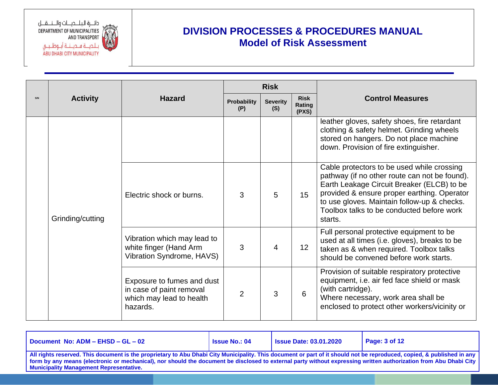

|     |                  |                                                                                                |                           | <b>Risk</b>            |                                |                                                                                                                                                                                                                                                                                                 |
|-----|------------------|------------------------------------------------------------------------------------------------|---------------------------|------------------------|--------------------------------|-------------------------------------------------------------------------------------------------------------------------------------------------------------------------------------------------------------------------------------------------------------------------------------------------|
| S/N | <b>Activity</b>  | <b>Hazard</b>                                                                                  | <b>Probability</b><br>(P) | <b>Severity</b><br>(S) | <b>Risk</b><br>Rating<br>(PXS) | <b>Control Measures</b>                                                                                                                                                                                                                                                                         |
|     |                  |                                                                                                |                           |                        |                                | leather gloves, safety shoes, fire retardant<br>clothing & safety helmet. Grinding wheels<br>stored on hangers. Do not place machine<br>down. Provision of fire extinguisher.                                                                                                                   |
|     | Grinding/cutting | Electric shock or burns.                                                                       | 3                         | 5                      | 15                             | Cable protectors to be used while crossing<br>pathway (if no other route can not be found).<br>Earth Leakage Circuit Breaker (ELCB) to be<br>provided & ensure proper earthing. Operator<br>to use gloves. Maintain follow-up & checks.<br>Toolbox talks to be conducted before work<br>starts. |
|     |                  | Vibration which may lead to<br>white finger (Hand Arm<br>Vibration Syndrome, HAVS)             | 3                         | 4                      | 12                             | Full personal protective equipment to be<br>used at all times (i.e. gloves), breaks to be<br>taken as & when required. Toolbox talks<br>should be convened before work starts.                                                                                                                  |
|     |                  | Exposure to fumes and dust<br>in case of paint removal<br>which may lead to health<br>hazards. | $\overline{2}$            | 3                      | 6                              | Provision of suitable respiratory protective<br>equipment, i.e. air fed face shield or mask<br>(with cartridge).<br>Where necessary, work area shall be<br>enclosed to protect other workers/vicinity or                                                                                        |

| Document No: ADM - EHSD - GL - 02                                                                                                                                                                                                                                                                                                                                                             | <b>Issue No.: 04</b> | <b>Issue Date: 03.01.2020</b> | $\vert$ Page: 3 of 12 |  |  |  |
|-----------------------------------------------------------------------------------------------------------------------------------------------------------------------------------------------------------------------------------------------------------------------------------------------------------------------------------------------------------------------------------------------|----------------------|-------------------------------|-----------------------|--|--|--|
| All rights reserved. This document is the proprietary to Abu Dhabi City Municipality. This document or part of it should not be reproduced, copied, & published in any<br>form by any means (electronic or mechanical), nor should the document be disclosed to external party without expressing written authorization from Abu Dhabi City<br><b>Municipality Management Representative.</b> |                      |                               |                       |  |  |  |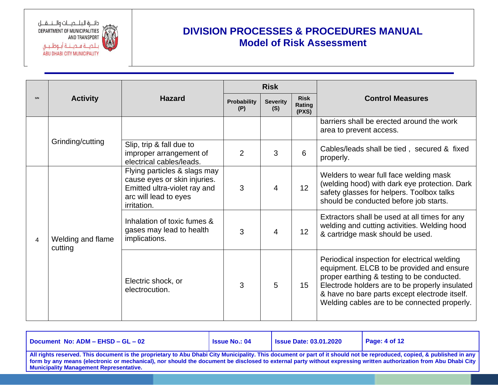دائـــرة البــلــــديــــات والــــنـــقـــل DEPARTMENT OF MUNICIPALITIES AND TRANSPORT ABU DHABI CITY MUNICIPALITY

|   |                              |                                                                                                                                      |                    | <b>Risk</b>            |                                |                                                                                                                                                                                                                                                                                            |
|---|------------------------------|--------------------------------------------------------------------------------------------------------------------------------------|--------------------|------------------------|--------------------------------|--------------------------------------------------------------------------------------------------------------------------------------------------------------------------------------------------------------------------------------------------------------------------------------------|
|   | <b>Activity</b>              | <b>Hazard</b>                                                                                                                        | Probability<br>(P) | <b>Severity</b><br>(S) | <b>Risk</b><br>Rating<br>(PXS) | <b>Control Measures</b>                                                                                                                                                                                                                                                                    |
|   |                              |                                                                                                                                      |                    |                        |                                | barriers shall be erected around the work<br>area to prevent access.                                                                                                                                                                                                                       |
|   | Grinding/cutting             | Slip, trip & fall due to<br>improper arrangement of<br>electrical cables/leads.                                                      | 2                  | 3                      | 6                              | Cables/leads shall be tied, secured & fixed<br>properly.                                                                                                                                                                                                                                   |
|   |                              | Flying particles & slags may<br>cause eyes or skin injuries.<br>Emitted ultra-violet ray and<br>arc will lead to eyes<br>irritation. | 3                  | 4                      | 12                             | Welders to wear full face welding mask<br>(welding hood) with dark eye protection. Dark<br>safety glasses for helpers. Toolbox talks<br>should be conducted before job starts.                                                                                                             |
| 4 | Welding and flame<br>cutting | Inhalation of toxic fumes &<br>gases may lead to health<br>implications.                                                             | 3                  | 4                      | 12                             | Extractors shall be used at all times for any<br>welding and cutting activities. Welding hood<br>& cartridge mask should be used.                                                                                                                                                          |
|   |                              | Electric shock, or<br>electrocution.                                                                                                 | 3                  | 5                      | 15                             | Periodical inspection for electrical welding<br>equipment. ELCB to be provided and ensure<br>proper earthing & testing to be conducted.<br>Electrode holders are to be properly insulated<br>& have no bare parts except electrode itself.<br>Welding cables are to be connected properly. |

| Document No: ADM - EHSD - GL - 02                                                                                                                                                                                                                                                                                                                                                             | <b>Issue No.: 04</b> | <b>Issue Date: 03.01.2020</b> | Page: $4$ of 12 |  |  |  |
|-----------------------------------------------------------------------------------------------------------------------------------------------------------------------------------------------------------------------------------------------------------------------------------------------------------------------------------------------------------------------------------------------|----------------------|-------------------------------|-----------------|--|--|--|
| All rights reserved. This document is the proprietary to Abu Dhabi City Municipality. This document or part of it should not be reproduced, copied, & published in any<br>form by any means (electronic or mechanical), nor should the document be disclosed to external party without expressing written authorization from Abu Dhabi City<br><b>Municipality Management Representative.</b> |                      |                               |                 |  |  |  |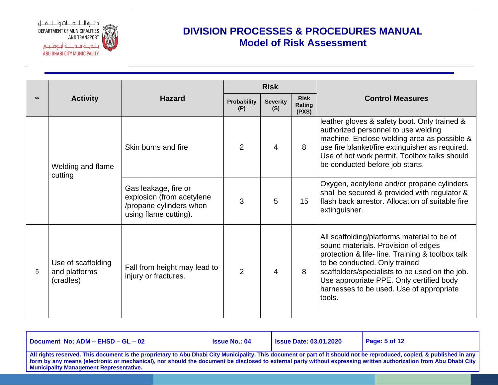

|     |                                                  |                                                                                                       | <b>Risk</b>               |                         |                                |                                                                                                                                                                                                                                                                                                                             |
|-----|--------------------------------------------------|-------------------------------------------------------------------------------------------------------|---------------------------|-------------------------|--------------------------------|-----------------------------------------------------------------------------------------------------------------------------------------------------------------------------------------------------------------------------------------------------------------------------------------------------------------------------|
| S/N | <b>Activity</b>                                  | <b>Hazard</b>                                                                                         | <b>Probability</b><br>(P) | <b>Severity</b><br>(S)  | <b>Risk</b><br>Rating<br>(PXS) | <b>Control Measures</b>                                                                                                                                                                                                                                                                                                     |
|     | Welding and flame<br>cutting                     | Skin burns and fire                                                                                   | $\overline{2}$            | 4                       | 8                              | leather gloves & safety boot. Only trained &<br>authorized personnel to use welding<br>machine. Enclose welding area as possible &<br>use fire blanket/fire extinguisher as required.<br>Use of hot work permit. Toolbox talks should<br>be conducted before job starts.                                                    |
|     |                                                  | Gas leakage, fire or<br>explosion (from acetylene<br>/propane cylinders when<br>using flame cutting). | 3                         | 5                       | 15                             | Oxygen, acetylene and/or propane cylinders<br>shall be secured & provided with regulator &<br>flash back arrestor. Allocation of suitable fire<br>extinguisher.                                                                                                                                                             |
| 5   | Use of scaffolding<br>and platforms<br>(cradles) | Fall from height may lead to<br>injury or fractures.                                                  | $\overline{2}$            | $\overline{\mathbf{4}}$ | 8                              | All scaffolding/platforms material to be of<br>sound materials. Provision of edges<br>protection & life- line. Training & toolbox talk<br>to be conducted. Only trained<br>scaffolders/specialists to be used on the job.<br>Use appropriate PPE. Only certified body<br>harnesses to be used. Use of appropriate<br>tools. |

| Document No: ADM - EHSD - GL - 02              | <b>Issue No.: 04</b>                                                                                                                                                                                                                                                                                                                        | <b>Issue Date: 03.01.2020</b> | $\vert$ Page: 5 of 12 |  |  |  |  |  |
|------------------------------------------------|---------------------------------------------------------------------------------------------------------------------------------------------------------------------------------------------------------------------------------------------------------------------------------------------------------------------------------------------|-------------------------------|-----------------------|--|--|--|--|--|
| <b>Municipality Management Representative.</b> | All rights reserved. This document is the proprietary to Abu Dhabi City Municipality. This document or part of it should not be reproduced, copied, & published in any<br>form by any means (electronic or mechanical), nor should the document be disclosed to external party without expressing written authorization from Abu Dhabi City |                               |                       |  |  |  |  |  |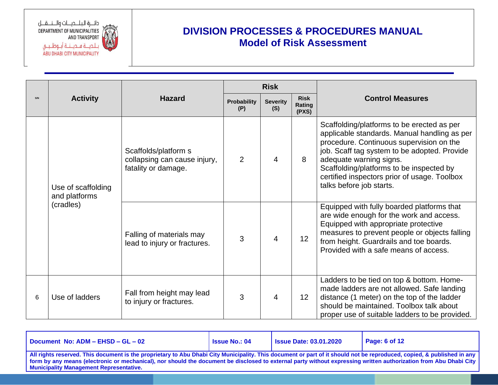

|     |                                     |                                                                             |                           | <b>Risk</b>                                              |    |                                                                                                                                                                                                                                                                                                                                           |
|-----|-------------------------------------|-----------------------------------------------------------------------------|---------------------------|----------------------------------------------------------|----|-------------------------------------------------------------------------------------------------------------------------------------------------------------------------------------------------------------------------------------------------------------------------------------------------------------------------------------------|
| S/N | <b>Activity</b>                     | <b>Hazard</b>                                                               | <b>Probability</b><br>(P) | <b>Risk</b><br><b>Severity</b><br>Rating<br>(S)<br>(PXS) |    | <b>Control Measures</b>                                                                                                                                                                                                                                                                                                                   |
|     | Use of scaffolding<br>and platforms | Scaffolds/platform s<br>collapsing can cause injury,<br>fatality or damage. | 2                         | 4                                                        | 8  | Scaffolding/platforms to be erected as per<br>applicable standards. Manual handling as per<br>procedure. Continuous supervision on the<br>job. Scaff tag system to be adopted. Provide<br>adequate warning signs.<br>Scaffolding/platforms to be inspected by<br>certified inspectors prior of usage. Toolbox<br>talks before job starts. |
|     | (cradles)                           | Falling of materials may<br>lead to injury or fractures.                    | 3                         | 4                                                        | 12 | Equipped with fully boarded platforms that<br>are wide enough for the work and access.<br>Equipped with appropriate protective<br>measures to prevent people or objects falling<br>from height. Guardrails and toe boards.<br>Provided with a safe means of access.                                                                       |
| 6   | Use of ladders                      | Fall from height may lead<br>to injury or fractures.                        | 3                         | 4                                                        | 12 | Ladders to be tied on top & bottom. Home-<br>made ladders are not allowed. Safe landing<br>distance (1 meter) on the top of the ladder<br>should be maintained. Toolbox talk about<br>proper use of suitable ladders to be provided.                                                                                                      |

| Document No: ADM - EHSD - GL - 02                                                                                                                                                                                                                                                                                                                                                      | <b>Issue No.: 04</b> | <b>Issue Date: 03.01.2020</b> | Page: 6 of 12 |
|----------------------------------------------------------------------------------------------------------------------------------------------------------------------------------------------------------------------------------------------------------------------------------------------------------------------------------------------------------------------------------------|----------------------|-------------------------------|---------------|
| All rights reserved. This document is the proprietary to Abu Dhabi City Municipality. This document or part of it should not be reproduced, copied, & published in any<br>form by any means (electronic or mechanical), nor should the document be disclosed to external party without expressing written authorization from Abu Dhabi City<br>Municipality Management Representative. |                      |                               |               |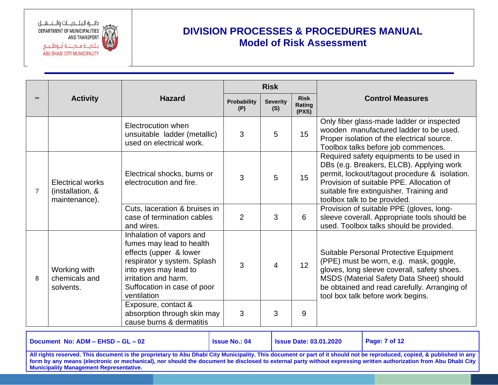دائـــرة الـبـلــــديــــات والــــنــــقــــل DEPARTMENT OF MUNICIPALITIES AND TRANSPORT ABU DHABI CITY MUNICIPALITY

### **DIVISION PROCESSES & PROCEDURES MANUAL Model of Risk Assessment**

|     |                                                              |                                                                                                                                                                                                              |                           | <b>Risk</b>            |                                |                                                                                                                                                                                                                                                                  |
|-----|--------------------------------------------------------------|--------------------------------------------------------------------------------------------------------------------------------------------------------------------------------------------------------------|---------------------------|------------------------|--------------------------------|------------------------------------------------------------------------------------------------------------------------------------------------------------------------------------------------------------------------------------------------------------------|
| S/N | <b>Activity</b>                                              | <b>Hazard</b>                                                                                                                                                                                                | <b>Probability</b><br>(P) | <b>Severity</b><br>(S) | <b>Risk</b><br>Rating<br>(PXS) | <b>Control Measures</b>                                                                                                                                                                                                                                          |
|     |                                                              | Electrocution when<br>unsuitable ladder (metallic)<br>used on electrical work.                                                                                                                               | 3                         | 5                      | 15                             | Only fiber glass-made ladder or inspected<br>wooden manufactured ladder to be used.<br>Proper isolation of the electrical source.<br>Toolbox talks before job commences.                                                                                         |
| 7   | <b>Electrical works</b><br>(installation, &<br>maintenance). | Electrical shocks, burns or<br>electrocution and fire.                                                                                                                                                       | 3                         | 5                      | 15                             | Required safety equipments to be used in<br>DBs (e.g. Breakers, ELCB). Applying work<br>permit, lockout/tagout procedure & isolation.<br>Provision of suitable PPE. Allocation of<br>suitable fire extinguisher. Training and<br>toolbox talk to be provided.    |
|     |                                                              | Cuts, laceration & bruises in<br>case of termination cables<br>and wires.                                                                                                                                    | $\overline{2}$            | 3                      | 6                              | Provision of suitable PPE (gloves, long-<br>sleeve coverall. Appropriate tools should be<br>used. Toolbox talks should be provided.                                                                                                                              |
| 8   | Working with<br>chemicals and<br>solvents.                   | Inhalation of vapors and<br>fumes may lead to health<br>effects (upper & lower<br>respirator y system. Splash<br>into eyes may lead to<br>irritation and harm.<br>Suffocation in case of poor<br>ventilation | 3                         | $\overline{4}$         | 12                             | Suitable Personal Protective Equipment<br>(PPE) must be worn, e.g. mask, goggle,<br>gloves, long sleeve coverall, safety shoes.<br>MSDS (Material Safety Data Sheet) should<br>be obtained and read carefully. Arranging of<br>tool box talk before work begins. |
|     |                                                              | Exposure, contact &<br>absorption through skin may<br>cause burns & dermatitis                                                                                                                               | 3                         | 3                      | 9                              |                                                                                                                                                                                                                                                                  |

**Document No: ADM – EHSD – GL – 02 Issue No.: 04 Issue Date: 03.01.2020 Page: 7 of 12 All rights reserved. This document is the proprietary to Abu Dhabi City Municipality. This document or part of it should not be reproduced, copied, & published in any form by any means (electronic or mechanical), nor should the document be disclosed to external party without expressing written authorization from Abu Dhabi City Municipality Management Representative.**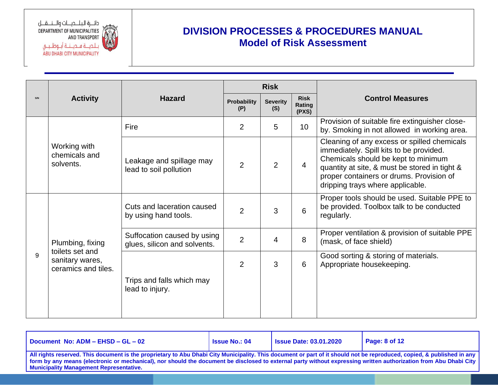دائـــرة البــلــــديــــات والــــنـــقــــل DEPARTMENT OF MUNICIPALITIES AND TRANSPORT **ABU DHABI CITY MUNICIPALITY** 

|              |                                                           |                                                             |                | <b>Risk</b>            |                                |                                                                                                                                                                                                                                                                |
|--------------|-----------------------------------------------------------|-------------------------------------------------------------|----------------|------------------------|--------------------------------|----------------------------------------------------------------------------------------------------------------------------------------------------------------------------------------------------------------------------------------------------------------|
| S/N          | <b>Activity</b>                                           | <b>Hazard</b><br><b>Probability</b><br>(P)                  |                | <b>Severity</b><br>(S) | <b>Risk</b><br>Rating<br>(PXS) | <b>Control Measures</b>                                                                                                                                                                                                                                        |
|              |                                                           | Fire                                                        | $\overline{2}$ | 5                      | 10 <sup>°</sup>                | Provision of suitable fire extinguisher close-<br>by. Smoking in not allowed in working area.                                                                                                                                                                  |
|              | Working with<br>chemicals and<br>solvents.                | Leakage and spillage may<br>lead to soil pollution          | 2              | $\overline{2}$         | 4                              | Cleaning of any excess or spilled chemicals<br>immediately. Spill kits to be provided.<br>Chemicals should be kept to minimum<br>quantity at site, & must be stored in tight &<br>proper containers or drums. Provision of<br>dripping trays where applicable. |
|              |                                                           | Cuts and laceration caused<br>by using hand tools.          | $\overline{2}$ | 3                      | 6                              | Proper tools should be used. Suitable PPE to<br>be provided. Toolbox talk to be conducted<br>regularly.                                                                                                                                                        |
|              | Plumbing, fixing                                          | Suffocation caused by using<br>glues, silicon and solvents. | $\overline{2}$ | 4                      | 8                              | Proper ventilation & provision of suitable PPE<br>(mask, of face shield)                                                                                                                                                                                       |
| $\mathsf{Q}$ | toilets set and<br>sanitary wares,<br>ceramics and tiles. | Trips and falls which may<br>lead to injury.                | 2              | 3                      | 6                              | Good sorting & storing of materials.<br>Appropriate housekeeping.                                                                                                                                                                                              |

| Document No: ADM - EHSD - GL - 02                                                                                                                                                                                                                                                                                                                                                             | <b>Issue No.: 04</b> | <b>Issue Date: 03.01.2020</b> | Page: $8$ of 12 |  |  |  |  |
|-----------------------------------------------------------------------------------------------------------------------------------------------------------------------------------------------------------------------------------------------------------------------------------------------------------------------------------------------------------------------------------------------|----------------------|-------------------------------|-----------------|--|--|--|--|
| All rights reserved. This document is the proprietary to Abu Dhabi City Municipality. This document or part of it should not be reproduced, copied, & published in any<br>form by any means (electronic or mechanical), nor should the document be disclosed to external party without expressing written authorization from Abu Dhabi City<br><b>Municipality Management Representative.</b> |                      |                               |                 |  |  |  |  |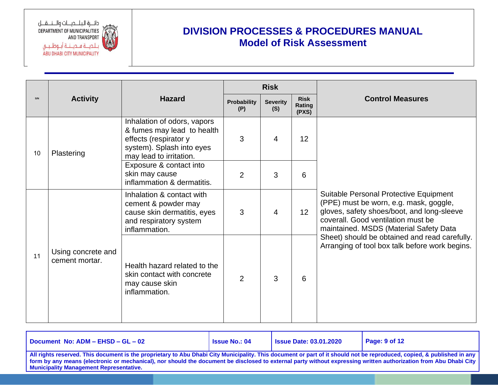دائــرة البلـــديـــات والـــنـــقـــل DEPARTMENT OF MUNICIPALITIES AND TRANSPORT ة فــديـــنـــة أبـــوظــبـــي ABU DHABI CITY MUNICIPALITY

|     |                                      |                                                                                                                                            | <b>Risk</b>               |                        |                                |                                                                                                                                                                                                                |
|-----|--------------------------------------|--------------------------------------------------------------------------------------------------------------------------------------------|---------------------------|------------------------|--------------------------------|----------------------------------------------------------------------------------------------------------------------------------------------------------------------------------------------------------------|
| S/N | <b>Activity</b>                      | <b>Hazard</b>                                                                                                                              | <b>Probability</b><br>(P) | <b>Severity</b><br>(S) | <b>Risk</b><br>Rating<br>(PXS) | <b>Control Measures</b>                                                                                                                                                                                        |
| 10  | Plastering                           | Inhalation of odors, vapors<br>& fumes may lead to health<br>effects (respirator y<br>system). Splash into eyes<br>may lead to irritation. | 3                         | $\overline{4}$         | 12                             |                                                                                                                                                                                                                |
|     |                                      | Exposure & contact into<br>skin may cause<br>inflammation & dermatitis.                                                                    | $\overline{2}$            | 3                      | 6                              |                                                                                                                                                                                                                |
|     |                                      | Inhalation & contact with<br>cement & powder may<br>cause skin dermatitis, eyes<br>and respiratory system<br>inflammation.                 | 3                         | 4                      | 12                             | Suitable Personal Protective Equipment<br>(PPE) must be worn, e.g. mask, goggle,<br>gloves, safety shoes/boot, and long-sleeve<br>coverall. Good ventilation must be<br>maintained. MSDS (Material Safety Data |
| 11  | Using concrete and<br>cement mortar. | Health hazard related to the<br>skin contact with concrete<br>may cause skin<br>inflammation.                                              | $\overline{2}$            | 3                      | 6                              | Sheet) should be obtained and read carefully.<br>Arranging of tool box talk before work begins.                                                                                                                |

| Document No: ADM - EHSD - GL - 02                                                                                                                                                                                                                                                                                                                                                             | <b>Issue No.: 04</b> | <b>Issue Date: 03.01.2020</b> | Page: $9$ of 12 |  |  |  |
|-----------------------------------------------------------------------------------------------------------------------------------------------------------------------------------------------------------------------------------------------------------------------------------------------------------------------------------------------------------------------------------------------|----------------------|-------------------------------|-----------------|--|--|--|
| All rights reserved. This document is the proprietary to Abu Dhabi City Municipality. This document or part of it should not be reproduced, copied, & published in any<br>form by any means (electronic or mechanical), nor should the document be disclosed to external party without expressing written authorization from Abu Dhabi City<br><b>Municipality Management Representative.</b> |                      |                               |                 |  |  |  |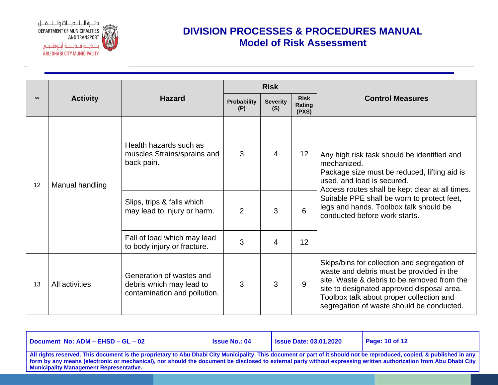دائـــرة البــلــــديــــات والــــنـــقـــل DEPARTMENT OF MUNICIPALITIES AND TRANSPORT ، مــديـــنـــة أبـــوظــبـــي **ABU DHABI CITY MUNICIPALITY** 

|    |                                         |                                                                                      |                    | <b>Risk</b>            |                                |                                                                                                                                                                                                                                                                                |  |  |
|----|-----------------------------------------|--------------------------------------------------------------------------------------|--------------------|------------------------|--------------------------------|--------------------------------------------------------------------------------------------------------------------------------------------------------------------------------------------------------------------------------------------------------------------------------|--|--|
|    | <b>Hazard</b><br><b>Activity</b><br>(P) |                                                                                      | <b>Probability</b> | <b>Severity</b><br>(S) | <b>Risk</b><br>Rating<br>(PXS) | <b>Control Measures</b>                                                                                                                                                                                                                                                        |  |  |
| 12 | Manual handling                         | Health hazards such as<br>muscles Strains/sprains and<br>back pain.                  | 3                  | 4                      | 12                             | Any high risk task should be identified and<br>mechanized.<br>Package size must be reduced, lifting aid is<br>used, and load is secured.<br>Access routes shall be kept clear at all times.                                                                                    |  |  |
|    |                                         | Slips, trips & falls which<br>may lead to injury or harm.                            | $\overline{2}$     | 3                      | 6                              | Suitable PPE shall be worn to protect feet,<br>legs and hands. Toolbox talk should be<br>conducted before work starts.                                                                                                                                                         |  |  |
|    |                                         | Fall of load which may lead<br>to body injury or fracture.                           | 3                  | 4                      | 12                             |                                                                                                                                                                                                                                                                                |  |  |
| 13 | All activities                          | Generation of wastes and<br>debris which may lead to<br>contamination and pollution. | 3                  | 3                      | 9                              | Skips/bins for collection and segregation of<br>waste and debris must be provided in the<br>site. Waste & debris to be removed from the<br>site to designated approved disposal area.<br>Toolbox talk about proper collection and<br>segregation of waste should be conducted. |  |  |

| Document No: ADM - EHSD - GL - 02                                                                                                                                                                                                                                                                                                                                                             | <b>Issue No.: 04</b> | <b>Issue Date: 03.01.2020</b> | Page: 10 of 12 |  |  |  |  |
|-----------------------------------------------------------------------------------------------------------------------------------------------------------------------------------------------------------------------------------------------------------------------------------------------------------------------------------------------------------------------------------------------|----------------------|-------------------------------|----------------|--|--|--|--|
| All rights reserved. This document is the proprietary to Abu Dhabi City Municipality. This document or part of it should not be reproduced, copied, & published in any<br>form by any means (electronic or mechanical), nor should the document be disclosed to external party without expressing written authorization from Abu Dhabi City<br><b>Municipality Management Representative.</b> |                      |                               |                |  |  |  |  |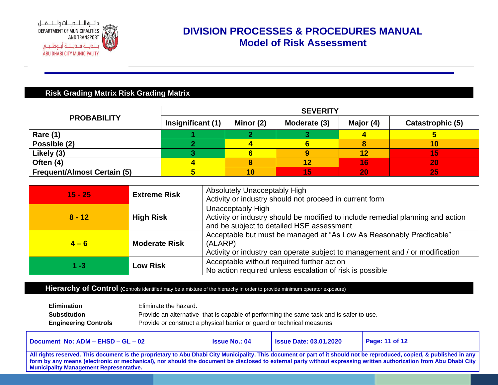

#### **Risk Grading Matrix Risk Grading Matrix**

|                                    | <b>SEVERITY</b>   |           |              |           |                  |  |  |
|------------------------------------|-------------------|-----------|--------------|-----------|------------------|--|--|
| <b>PROBABILITY</b>                 | Insignificant (1) | Minor (2) | Moderate (3) | Major (4) | Catastrophic (5) |  |  |
| <b>Rare (1)</b>                    |                   |           |              |           |                  |  |  |
| Possible (2)                       |                   |           |              |           |                  |  |  |
| Likely (3)                         |                   |           |              |           |                  |  |  |
| Often (4)                          |                   |           | 12           | 16        | 20               |  |  |
| <b>Frequent/Almost Certain (5)</b> |                   |           | 15           | 20        | 25               |  |  |

| $15 - 25$ | <b>Extreme Risk</b>  | Absolutely Unacceptably High<br>Activity or industry should not proceed in current form                                                                         |
|-----------|----------------------|-----------------------------------------------------------------------------------------------------------------------------------------------------------------|
| $8 - 12$  | <b>High Risk</b>     | Unacceptably High<br>Activity or industry should be modified to include remedial planning and action<br>and be subject to detailed HSE assessment               |
| $4 - 6$   | <b>Moderate Risk</b> | Acceptable but must be managed at "As Low As Reasonably Practicable"<br>(ALARP)<br>Activity or industry can operate subject to management and / or modification |
| $1 - 3$   | <b>Low Risk</b>      | Acceptable without required further action<br>No action required unless escalation of risk is possible                                                          |

#### Hierarchy of Control (Controls identified may be a mixture of the hierarchy in order to provide minimum operator exposure)

| <b>Elimination</b>          | Eliminate the hazard.                                                                   |
|-----------------------------|-----------------------------------------------------------------------------------------|
| Substitution                | Provide an alternative that is capable of performing the same task and is safer to use. |
| <b>Engineering Controls</b> | Provide or construct a physical barrier or guard or technical measures                  |

| Document No: ADM - EHSD - GL - 02                                                                                                                                                                                                                                                                                                                                                          | <b>Issue No.: 04</b> | <b>Issue Date: 03.01.2020</b> | <b>Page: 11 of 12</b> |  |  |  |
|--------------------------------------------------------------------------------------------------------------------------------------------------------------------------------------------------------------------------------------------------------------------------------------------------------------------------------------------------------------------------------------------|----------------------|-------------------------------|-----------------------|--|--|--|
| All rights reserved. This document is the proprietary to Abu Dhabi City Municipality. This document or part of it should not be reproduced, copied, & published in any  <br>  form by any means (electronic or mechanical), nor should the document be disclosed to external party without expressing written authorization from Abu Dhabi City<br>Municipality Management Representative. |                      |                               |                       |  |  |  |